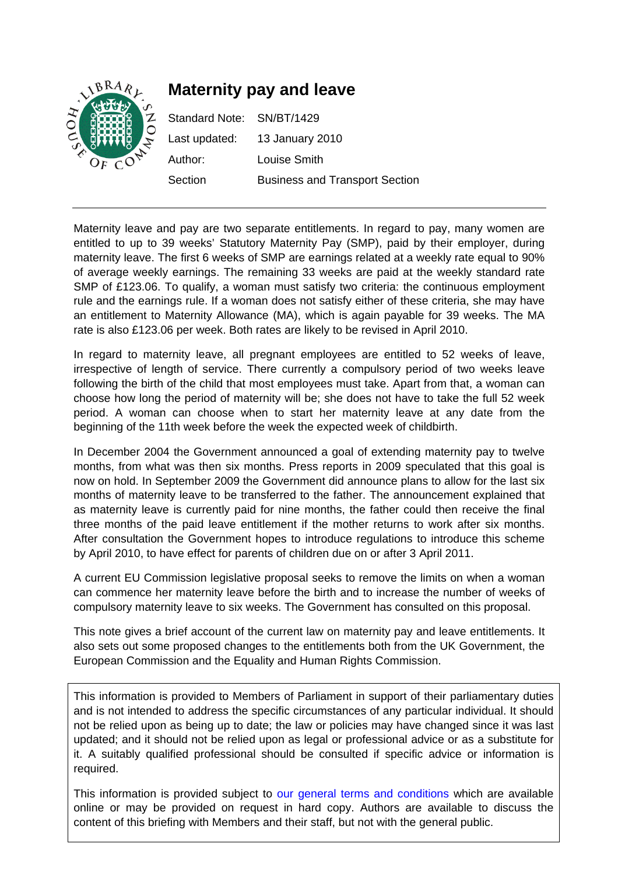

Maternity leave and pay are two separate entitlements. In regard to pay, many women are entitled to up to 39 weeks' Statutory Maternity Pay (SMP), paid by their employer, during maternity leave. The first 6 weeks of SMP are earnings related at a weekly rate equal to 90% of average weekly earnings. The remaining 33 weeks are paid at the weekly standard rate SMP of £123.06. To qualify, a woman must satisfy two criteria: the continuous employment rule and the earnings rule. If a woman does not satisfy either of these criteria, she may have an entitlement to Maternity Allowance (MA), which is again payable for 39 weeks. The MA rate is also £123.06 per week. Both rates are likely to be revised in April 2010.

In regard to maternity leave, all pregnant employees are entitled to 52 weeks of leave, irrespective of length of service. There currently a compulsory period of two weeks leave following the birth of the child that most employees must take. Apart from that, a woman can choose how long the period of maternity will be; she does not have to take the full 52 week period. A woman can choose when to start her maternity leave at any date from the beginning of the 11th week before the week the expected week of childbirth.

In December 2004 the Government announced a goal of extending maternity pay to twelve months, from what was then six months. Press reports in 2009 speculated that this goal is now on hold. In September 2009 the Government did announce plans to allow for the last six months of maternity leave to be transferred to the father. The announcement explained that as maternity leave is currently paid for nine months, the father could then receive the final three months of the paid leave entitlement if the mother returns to work after six months. After consultation the Government hopes to introduce regulations to introduce this scheme by April 2010, to have effect for parents of children due on or after 3 April 2011.

A current EU Commission legislative proposal seeks to remove the limits on when a woman can commence her maternity leave before the birth and to increase the number of weeks of compulsory maternity leave to six weeks. The Government has consulted on this proposal.

This note gives a brief account of the current law on maternity pay and leave entitlements. It also sets out some proposed changes to the entitlements both from the UK Government, the European Commission and the Equality and Human Rights Commission.

This information is provided to Members of Parliament in support of their parliamentary duties and is not intended to address the specific circumstances of any particular individual. It should not be relied upon as being up to date; the law or policies may have changed since it was last updated; and it should not be relied upon as legal or professional advice or as a substitute for it. A suitably qualified professional should be consulted if specific advice or information is required.

This information is provided subject to [our general terms and conditions](http://www.parliament.uk/site_information/parliamentary_copyright.cfm) which are available online or may be provided on request in hard copy. Authors are available to discuss the content of this briefing with Members and their staff, but not with the general public.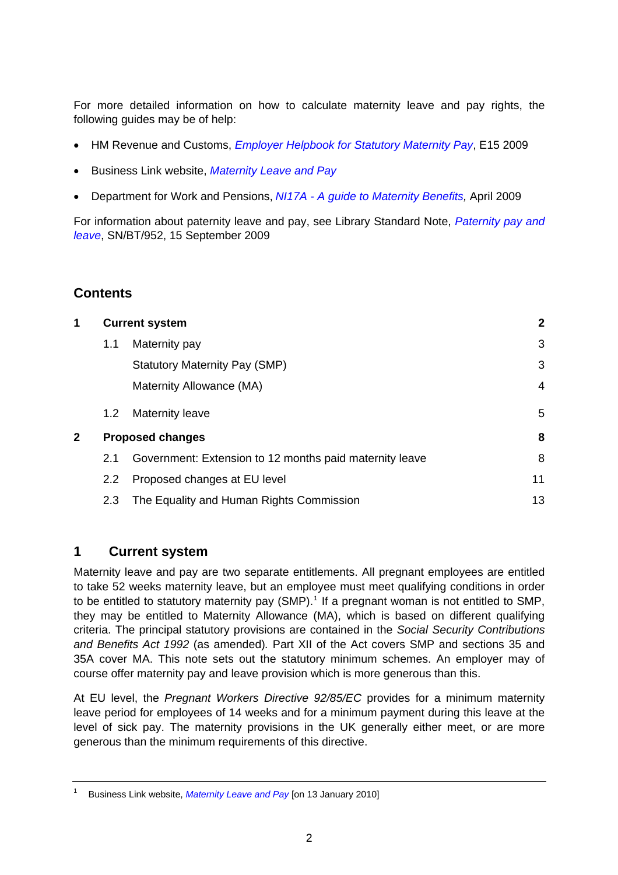<span id="page-1-0"></span>For more detailed information on how to calculate maternity leave and pay rights, the following guides may be of help:

- HM Revenue and Customs, *[Employer Helpbook for Statutory Maternity Pay](http://www.hmrc.gov.uk/helpsheets/e15.pdf)*, E15 2009
- Business Link website, *[Maternity Leave and Pay](http://www.businesslink.gov.uk/bdotg/action/layer?topicId=1080898273&r.lc=en&r.s=sl)*
- Department for Work and Pensions, *[NI17A A guide to Maternity Benefits](http://www.dwp.gov.uk/publications/specialist-guides/technical-guidance/ni17a-a-guide-to-maternity/),* April 2009

For information about paternity leave and pay, see Library Standard Note, *[Paternity pay and](http://pims.parliament.uk:81/PIMS/Static%20Files/Extended%20File%20Scan%20Files/LIBRARY_OTHER_PAPERS/STANDARD_NOTE/snbt-00952.pdf)  [leave](http://pims.parliament.uk:81/PIMS/Static%20Files/Extended%20File%20Scan%20Files/LIBRARY_OTHER_PAPERS/STANDARD_NOTE/snbt-00952.pdf)*, SN/BT/952, 15 September 2009

# **Contents**

| 1 | <b>Current system</b>   |                                                         | $\mathbf{2}$ |
|---|-------------------------|---------------------------------------------------------|--------------|
|   | 1.1                     | Maternity pay                                           | 3            |
|   |                         | <b>Statutory Maternity Pay (SMP)</b>                    | 3            |
|   |                         | Maternity Allowance (MA)                                | 4            |
|   | 1.2 <sub>1</sub>        | Maternity leave                                         | 5            |
| 2 | <b>Proposed changes</b> |                                                         | 8            |
|   | 2.1                     | Government: Extension to 12 months paid maternity leave | 8            |
|   | $2.2^{\circ}$           | Proposed changes at EU level                            | 11           |
|   | 2.3                     | The Equality and Human Rights Commission                | 13           |

# **1 Current system**

Maternity leave and pay are two separate entitlements. All pregnant employees are entitled to take 52 weeks maternity leave, but an employee must meet qualifying conditions in order to be entitled to statutory maternity pay  $(SMP)^{1}$  $(SMP)^{1}$  $(SMP)^{1}$  If a pregnant woman is not entitled to SMP, they may be entitled to Maternity Allowance (MA), which is based on different qualifying criteria. The principal statutory provisions are contained in the *Social Security Contributions and Benefits Act 1992* (as amended)*.* Part XII of the Act covers SMP and sections 35 and 35A cover MA. This note sets out the statutory minimum schemes. An employer may of course offer maternity pay and leave provision which is more generous than this.

At EU level, the *Pregnant Workers Directive 92/85/EC* provides for a minimum maternity leave period for employees of 14 weeks and for a minimum payment during this leave at the level of sick pay. The maternity provisions in the UK generally either meet, or are more generous than the minimum requirements of this directive.

<span id="page-1-1"></span><sup>1</sup> Business Link website, *[Maternity Leave and Pay](http://www.businesslink.gov.uk/bdotg/action/layer?topicId=1080898273&r.lc=en&r.s=sl)* [on 13 January 2010]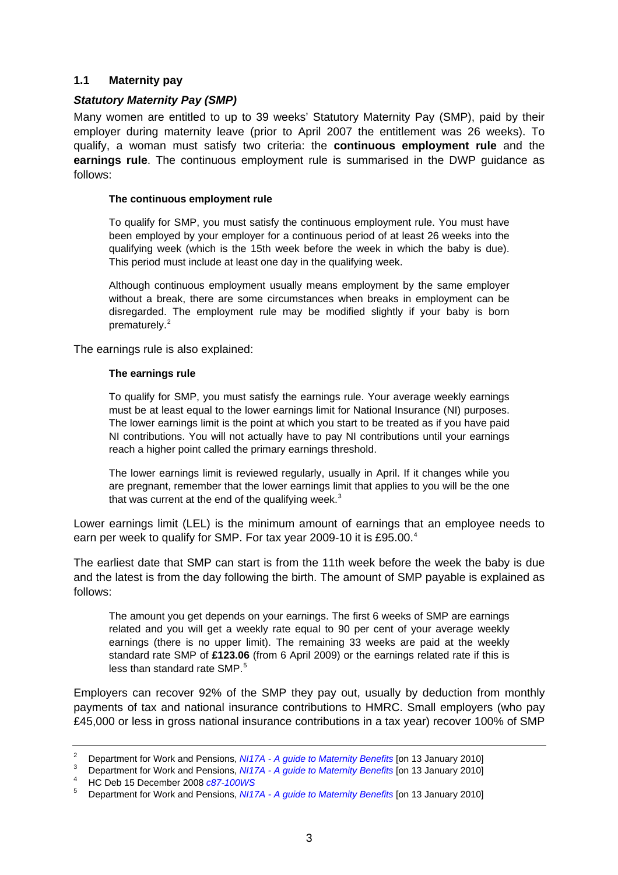# <span id="page-2-0"></span>**1.1 Maternity pay**

# *Statutory Maternity Pay (SMP)*

Many women are entitled to up to 39 weeks' Statutory Maternity Pay (SMP), paid by their employer during maternity leave (prior to April 2007 the entitlement was 26 weeks). To qualify, a woman must satisfy two criteria: the **continuous employment rule** and the **earnings rule**. The continuous employment rule is summarised in the DWP guidance as follows:

### **The continuous employment rule**

To qualify for SMP, you must satisfy the continuous employment rule. You must have been employed by your employer for a continuous period of at least 26 weeks into the qualifying week (which is the 15th week before the week in which the baby is due). This period must include at least one day in the qualifying week.

Although continuous employment usually means employment by the same employer without a break, there are some circumstances when breaks in employment can be disregarded. The employment rule may be modified slightly if your baby is born prematurely.<sup>[2](#page-2-1)</sup>

The earnings rule is also explained:

### **The earnings rule**

To qualify for SMP, you must satisfy the earnings rule. Your average weekly earnings must be at least equal to the lower earnings limit for National Insurance (NI) purposes. The lower earnings limit is the point at which you start to be treated as if you have paid NI contributions. You will not actually have to pay NI contributions until your earnings reach a higher point called the primary earnings threshold.

The lower earnings limit is reviewed regularly, usually in April. If it changes while you are pregnant, remember that the lower earnings limit that applies to you will be the one that was current at the end of the qualifying week. $3$ 

Lower earnings limit (LEL) is the minimum amount of earnings that an employee needs to earn per week to qualify for SMP. For tax year 2009-10 it is £95.00.[4](#page-2-3)

The earliest date that SMP can start is from the 11th week before the week the baby is due and the latest is from the day following the birth. The amount of SMP payable is explained as follows:

The amount you get depends on your earnings. The first 6 weeks of SMP are earnings related and you will get a weekly rate equal to 90 per cent of your average weekly earnings (there is no upper limit). The remaining 33 weeks are paid at the weekly standard rate SMP of **£123.06** (from 6 April 2009) or the earnings related rate if this is less than standard rate SMP.<sup>[5](#page-2-4)</sup>

Employers can recover 92% of the SMP they pay out, usually by deduction from monthly payments of tax and national insurance contributions to HMRC. Small employers (who pay £45,000 or less in gross national insurance contributions in a tax year) recover 100% of SMP

<span id="page-2-1"></span><sup>2</sup> <sup>2</sup>Department for Work and Pensions, *NI17A - A guide to Maternity Benefits* [on 13 January 2010]<br><sup>3</sup> Department for Work and Depaigns, *NI17A - A guide to Maternity Benefits* [on 12, January 2010]

<sup>&</sup>lt;sup>3</sup>Department for Work and Pensions, *NI17A - A guide to Maternity Benefits* [on 13 January 2010]<br><sup>4</sup> HC Deb 15 Desember 2008 e87 100k/S

<span id="page-2-3"></span><span id="page-2-2"></span>HC Deb 15 December 2008 *[c87-100WS](http://www.publications.parliament.uk/pa/cm200809/cmhansrd/cm081215/wmstext/81215m0003.htm#08121517000024)*

<span id="page-2-4"></span><sup>5</sup> Department for Work and Pensions, *[NI17A - A guide to Maternity Benefits](http://www.dwp.gov.uk/publications/specialist-guides/technical-guidance/ni17a-a-guide-to-maternity/statutory-maternity-pay-smp/smp-amount/#smpamount)* [on 13 January 2010]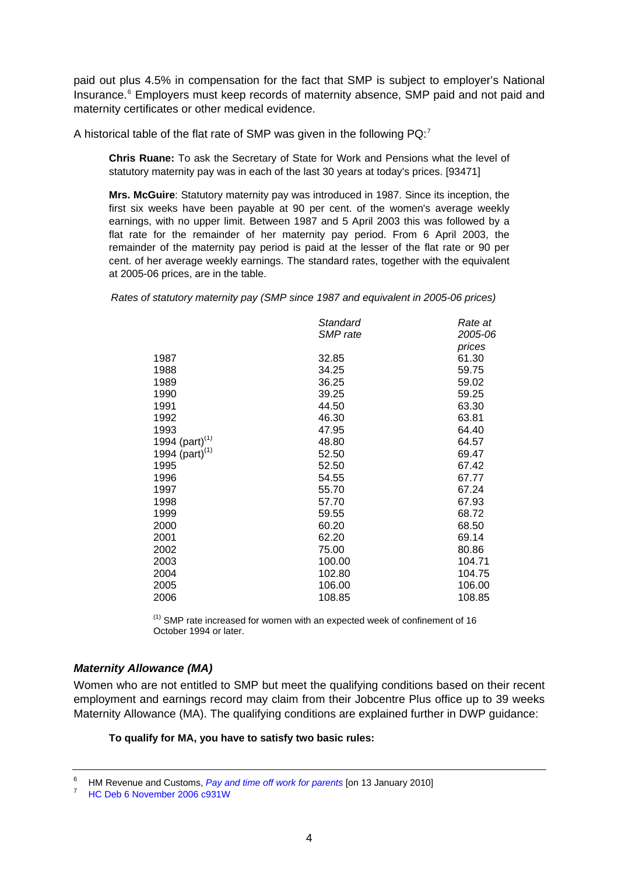<span id="page-3-0"></span>paid out plus 4.5% in compensation for the fact that SMP is subject to employer's National Insurance.<sup>[6](#page-3-1)</sup> Employers must keep records of maternity absence, SMP paid and not paid and maternity certificates or other medical evidence.

A historical table of the flat rate of SMP was given in the following PQ:[7](#page-3-2)

**Chris Ruane:** To ask the Secretary of State for Work and Pensions what the level of statutory maternity pay was in each of the last 30 years at today's prices. [93471]

**Mrs. McGuire**: Statutory maternity pay was introduced in 1987. Since its inception, the first six weeks have been payable at 90 per cent. of the women's average weekly earnings, with no upper limit. Between 1987 and 5 April 2003 this was followed by a flat rate for the remainder of her maternity pay period. From 6 April 2003, the remainder of the maternity pay period is paid at the lesser of the flat rate or 90 per cent. of her average weekly earnings. The standard rates, together with the equivalent at 2005-06 prices, are in the table.

*Rates of statutory maternity pay (SMP since 1987 and equivalent in 2005-06 prices)* 

|                            | Standard<br>SMP rate | Rate at<br>2005-06 |
|----------------------------|----------------------|--------------------|
|                            |                      | prices             |
| 1987                       | 32.85                | 61.30              |
| 1988                       | 34.25                | 59.75              |
| 1989                       | 36.25                | 59.02              |
| 1990                       | 39.25                | 59.25              |
| 1991                       | 44.50                | 63.30              |
| 1992                       | 46.30                | 63.81              |
| 1993                       | 47.95                | 64.40              |
| 1994 (part) <sup>(1)</sup> | 48.80                | 64.57              |
| 1994 (part) <sup>(1)</sup> | 52.50                | 69.47              |
| 1995                       | 52.50                | 67.42              |
| 1996                       | 54.55                | 67.77              |
| 1997                       | 55.70                | 67.24              |
| 1998                       | 57.70                | 67.93              |
| 1999                       | 59.55                | 68.72              |
| 2000                       | 60.20                | 68.50              |
| 2001                       | 62.20                | 69.14              |
| 2002                       | 75.00                | 80.86              |
| 2003                       | 100.00               | 104.71             |
| 2004                       | 102.80               | 104.75             |
| 2005                       | 106.00               | 106.00             |
| 2006                       | 108.85               | 108.85             |

 $<sup>(1)</sup>$  SMP rate increased for women with an expected week of confinement of 16</sup> October 1994 or later.

## *Maternity Allowance (MA)*

Women who are not entitled to SMP but meet the qualifying conditions based on their recent employment and earnings record may claim from their Jobcentre Plus office up to 39 weeks Maternity Allowance (MA). The qualifying conditions are explained further in DWP guidance:

**To qualify for MA, you have to satisfy two basic rules:** 

<span id="page-3-1"></span><sup>6</sup> HM Revenue and Customs, *Pay and time off work for parents* [on 13 January 2010] 7

<span id="page-3-2"></span>[HC Deb 6 November 2006 c931W](http://pubs1.tso.parliament.uk/pa/cm200506/cmhansrd/vo061106/text/61106w0051.htm#06110813000017)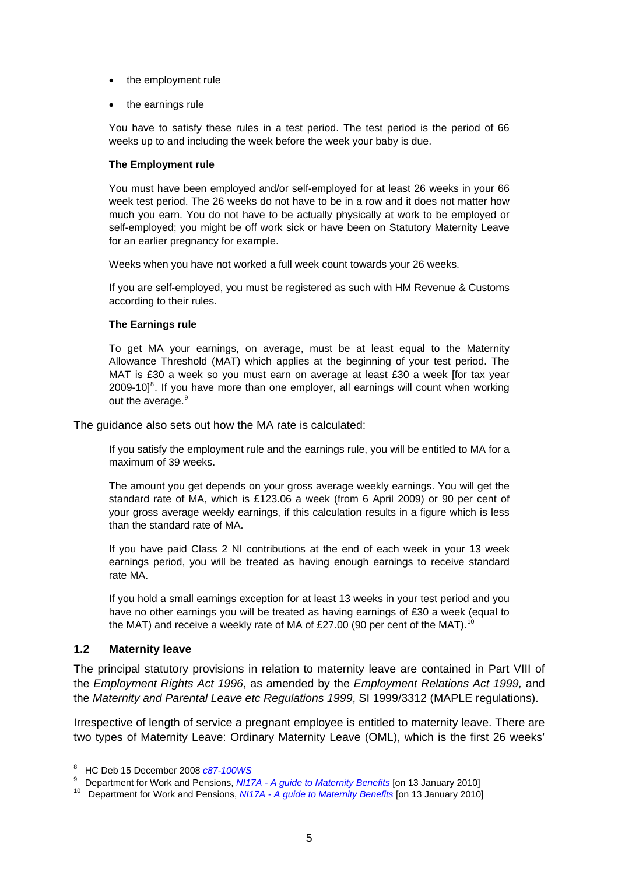- <span id="page-4-0"></span>• the employment rule
- the earnings rule

You have to satisfy these rules in a test period. The test period is the period of 66 weeks up to and including the week before the week your baby is due.

#### **The Employment rule**

You must have been employed and/or self-employed for at least 26 weeks in your 66 week test period. The 26 weeks do not have to be in a row and it does not matter how much you earn. You do not have to be actually physically at work to be employed or self-employed; you might be off work sick or have been on Statutory Maternity Leave for an earlier pregnancy for example.

Weeks when you have not worked a full week count towards your 26 weeks.

If you are self-employed, you must be registered as such with HM Revenue & Customs according to their rules.

### **The Earnings rule**

To get MA your earnings, on average, must be at least equal to the Maternity Allowance Threshold (MAT) which applies at the beginning of your test period. The MAT is £30 a week so you must earn on average at least £30 a week [for tax year  $2009-10$ <sup>[8](#page-4-1)</sup>. If you have more than one employer, all earnings will count when working out the average.<sup>[9](#page-4-2)</sup>

The guidance also sets out how the MA rate is calculated:

If you satisfy the employment rule and the earnings rule, you will be entitled to MA for a maximum of 39 weeks.

The amount you get depends on your gross average weekly earnings. You will get the standard rate of MA, which is £123.06 a week (from 6 April 2009) or 90 per cent of your gross average weekly earnings, if this calculation results in a figure which is less than the standard rate of MA.

If you have paid Class 2 NI contributions at the end of each week in your 13 week earnings period, you will be treated as having enough earnings to receive standard rate MA.

If you hold a small earnings exception for at least 13 weeks in your test period and you have no other earnings you will be treated as having earnings of £30 a week (equal to the MAT) and receive a weekly rate of MA of £27.00 (90 per cent of the MAT).<sup>[10](#page-4-3)</sup>

### **1.2 Maternity leave**

The principal statutory provisions in relation to maternity leave are contained in Part VIII of the *Employment Rights Act 1996*, as amended by the *Employment Relations Act 1999,* and the *Maternity and Parental Leave etc Regulations 1999*, SI 1999/3312 (MAPLE regulations).

Irrespective of length of service a pregnant employee is entitled to maternity leave. There are two types of Maternity Leave: Ordinary Maternity Leave (OML), which is the first 26 weeks'

<sup>8</sup> HC Deb 15 December 2008 *[c87-100WS](http://www.publications.parliament.uk/pa/cm200809/cmhansrd/cm081215/wmstext/81215m0003.htm#08121517000024)*

<span id="page-4-2"></span><span id="page-4-1"></span><sup>&</sup>lt;sup>9</sup> Department for Work and Pensions, NI17A - A guide to Maternity Benefits [on 13 January 2010]

<span id="page-4-3"></span><sup>&</sup>lt;sup>10</sup> Department for Work and Pensions, *NI17A - A guide to Maternity Benefits* [on 13 January 2010]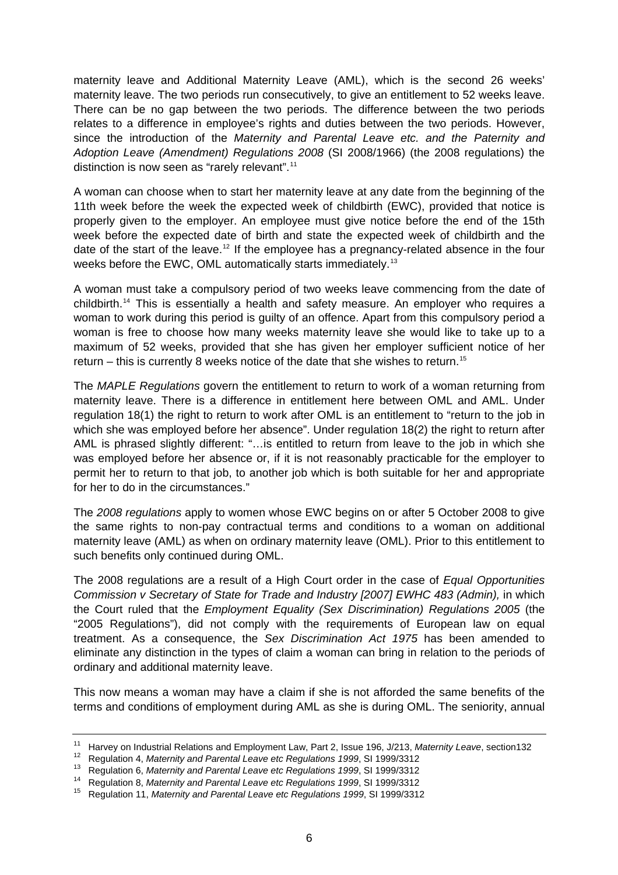maternity leave and Additional Maternity Leave (AML), which is the second 26 weeks' maternity leave. The two periods run consecutively, to give an entitlement to 52 weeks leave. There can be no gap between the two periods. The difference between the two periods relates to a difference in employee's rights and duties between the two periods. However, since the introduction of the *Maternity and Parental Leave etc. and the Paternity and Adoption Leave (Amendment) Regulations 2008* (SI 2008/1966) (the 2008 regulations) the distinction is now seen as "rarely relevant".<sup>[11](#page-5-0)</sup>

A woman can choose when to start her maternity leave at any date from the beginning of the 11th week before the week the expected week of childbirth (EWC), provided that notice is properly given to the employer. An employee must give notice before the end of the 15th week before the expected date of birth and state the expected week of childbirth and the date of the start of the leave.<sup>[12](#page-5-1)</sup> If the employee has a pregnancy-related absence in the four weeks before the EWC, OML automatically starts immediately.<sup>[13](#page-5-2)</sup>

A woman must take a compulsory period of two weeks leave commencing from the date of childbirth[.14](#page-5-3) This is essentially a health and safety measure. An employer who requires a woman to work during this period is guilty of an offence. Apart from this compulsory period a woman is free to choose how many weeks maternity leave she would like to take up to a maximum of 52 weeks, provided that she has given her employer sufficient notice of her return – this is currently 8 weeks notice of the date that she wishes to return.<sup>[15](#page-5-4)</sup>

The *MAPLE Regulations* govern the entitlement to return to work of a woman returning from maternity leave. There is a difference in entitlement here between OML and AML. Under regulation 18(1) the right to return to work after OML is an entitlement to "return to the job in which she was employed before her absence". Under regulation 18(2) the right to return after AML is phrased slightly different: "…is entitled to return from leave to the job in which she was employed before her absence or, if it is not reasonably practicable for the employer to permit her to return to that job, to another job which is both suitable for her and appropriate for her to do in the circumstances."

The *2008 regulations* apply to women whose EWC begins on or after 5 October 2008 to give the same rights to non-pay contractual terms and conditions to a woman on additional maternity leave (AML) as when on ordinary maternity leave (OML). Prior to this entitlement to such benefits only continued during OML.

The 2008 regulations are a result of a High Court order in the case of *Equal Opportunities Commission v Secretary of State for Trade and Industry [2007] EWHC 483 (Admin),* in which the Court ruled that the *Employment Equality (Sex Discrimination) Regulations 2005* (the "2005 Regulations"), did not comply with the requirements of European law on equal treatment. As a consequence, the *Sex Discrimination Act 1975* has been amended to eliminate any distinction in the types of claim a woman can bring in relation to the periods of ordinary and additional maternity leave.

This now means a woman may have a claim if she is not afforded the same benefits of the terms and conditions of employment during AML as she is during OML. The seniority, annual

<span id="page-5-1"></span><span id="page-5-0"></span><sup>&</sup>lt;sup>11</sup> Harvey on Industrial Relations and Employment Law, Part 2, Issue 196, J/213, Maternity Leave, section132<br><sup>12</sup> Regulation 4, Maternity and Parental Leave etc Regulations 1999, SI 1999/3312<br><sup>13</sup> Regulation 6, Maternity

<span id="page-5-2"></span>

<span id="page-5-3"></span>

<span id="page-5-4"></span>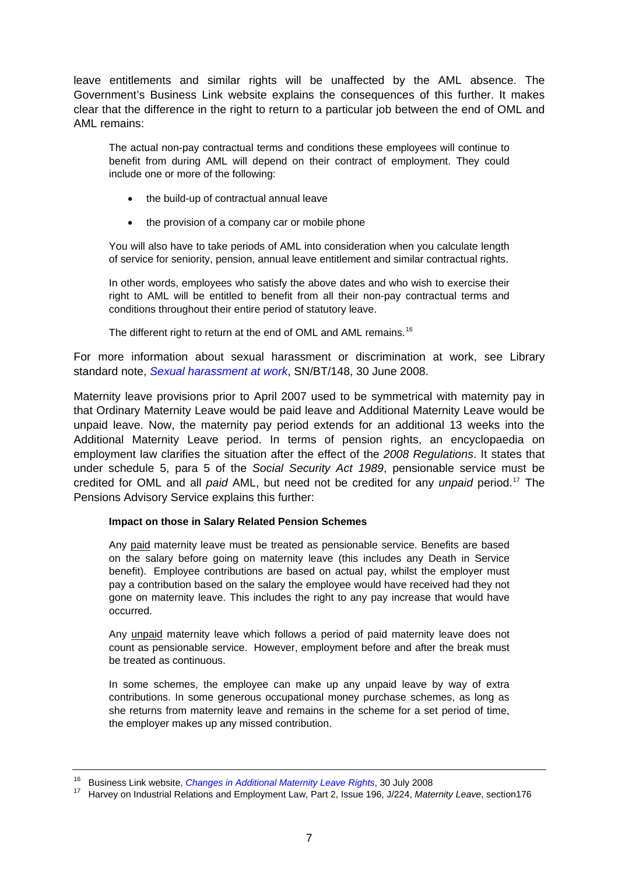leave entitlements and similar rights will be unaffected by the AML absence. The Government's Business Link website explains the consequences of this further. It makes clear that the difference in the right to return to a particular job between the end of OML and AML remains:

The actual non-pay contractual terms and conditions these employees will continue to benefit from during AML will depend on their contract of employment. They could include one or more of the following:

- the build-up of contractual annual leave
- the provision of a company car or mobile phone

You will also have to take periods of AML into consideration when you calculate length of service for seniority, pension, annual leave entitlement and similar contractual rights.

In other words, employees who satisfy the above dates and who wish to exercise their right to AML will be entitled to benefit from all their non-pay contractual terms and conditions throughout their entire period of statutory leave.

The different right to return at the end of OML and AML remains.<sup>[16](#page-6-0)</sup>

For more information about sexual harassment or discrimination at work, see Library standard note, *[Sexual harassment at work](http://pims.parliament.uk:81/PIMS/Static%20Files/Extended%20File%20Scan%20Files/LIBRARY_OTHER_PAPERS/STANDARD_NOTE/snbt-00148.pdf)*, SN/BT/148, 30 June 2008.

Maternity leave provisions prior to April 2007 used to be symmetrical with maternity pay in that Ordinary Maternity Leave would be paid leave and Additional Maternity Leave would be unpaid leave. Now, the maternity pay period extends for an additional 13 weeks into the Additional Maternity Leave period. In terms of pension rights, an encyclopaedia on employment law clarifies the situation after the effect of the *2008 Regulations*. It states that under schedule 5, para 5 of the *Social Security Act 1989*, pensionable service must be credited for OML and all *paid* AML, but need not be credited for any *unpaid* period.[17](#page-6-1) The Pensions Advisory Service explains this further:

### **Impact on those in Salary Related Pension Schemes**

Any paid maternity leave must be treated as pensionable service. Benefits are based on the salary before going on maternity leave (this includes any Death in Service benefit). Employee contributions are based on actual pay, whilst the employer must pay a contribution based on the salary the employee would have received had they not gone on maternity leave. This includes the right to any pay increase that would have occurred.

Any unpaid maternity leave which follows a period of paid maternity leave does not count as pensionable service. However, employment before and after the break must be treated as continuous.

In some schemes, the employee can make up any unpaid leave by way of extra contributions. In some generous occupational money purchase schemes, as long as she returns from maternity leave and remains in the scheme for a set period of time, the employer makes up any missed contribution.

<span id="page-6-1"></span>

<span id="page-6-0"></span><sup>&</sup>lt;sup>16</sup> Business Link website[,](http://www.businesslink.gov.uk/bdotg/action/ruDetail?type=REGUPDATE&itemId=1081010116) *Changes in Additional Maternity Leave Rights*, 30 July 2008<br><sup>17</sup> Harvey on Industrial Relations and Employment Law, Part 2, Issue 196, J/224, *Maternity Leave*, section176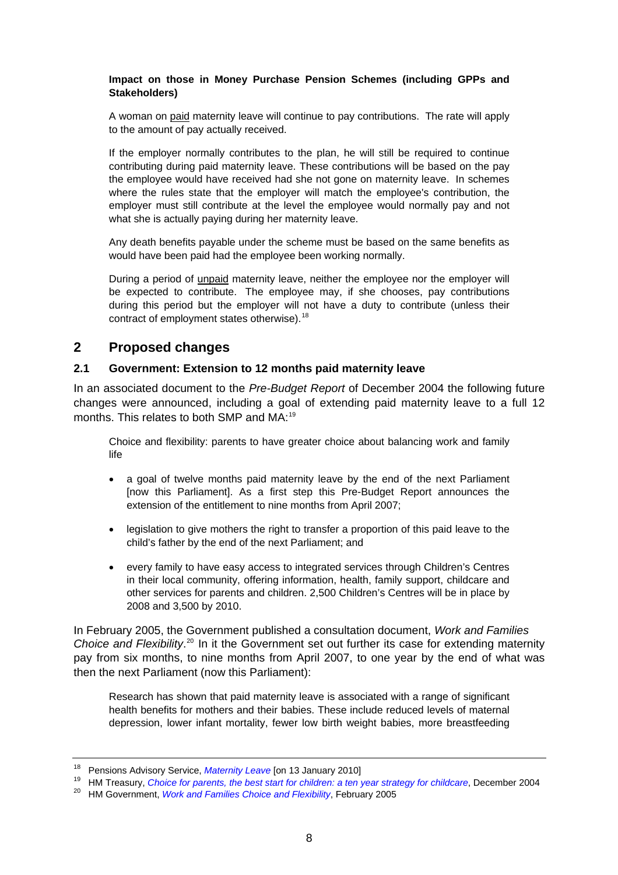### <span id="page-7-0"></span>**Impact on those in Money Purchase Pension Schemes (including GPPs and Stakeholders)**

A woman on paid maternity leave will continue to pay contributions. The rate will apply to the amount of pay actually received.

If the employer normally contributes to the plan, he will still be required to continue contributing during paid maternity leave. These contributions will be based on the pay the employee would have received had she not gone on maternity leave. In schemes where the rules state that the employer will match the employee's contribution, the employer must still contribute at the level the employee would normally pay and not what she is actually paying during her maternity leave.

Any death benefits payable under the scheme must be based on the same benefits as would have been paid had the employee been working normally.

During a period of unpaid maternity leave, neither the employee nor the employer will be expected to contribute. The employee may, if she chooses, pay contributions during this period but the employer will not have a duty to contribute (unless their contract of employment states otherwise).<sup>[18](#page-7-1)</sup>

# **2 Proposed changes**

# **2.1 Government: Extension to 12 months paid maternity leave**

In an associated document to the *Pre-Budget Report* of December 2004 the following future changes were announced, including a goal of extending paid maternity leave to a full 12 months. This relates to both SMP and MA:<sup>[19](#page-7-2)</sup>

Choice and flexibility: parents to have greater choice about balancing work and family life

- a goal of twelve months paid maternity leave by the end of the next Parliament [now this Parliament]. As a first step this Pre-Budget Report announces the extension of the entitlement to nine months from April 2007;
- legislation to give mothers the right to transfer a proportion of this paid leave to the child's father by the end of the next Parliament; and
- every family to have easy access to integrated services through Children's Centres in their local community, offering information, health, family support, childcare and other services for parents and children. 2,500 Children's Centres will be in place by 2008 and 3,500 by 2010.

In February 2005, the Government published a consultation document, *Work and Families Choice and Flexibility*. [20](#page-7-3) In it the Government set out further its case for extending maternity pay from six months, to nine months from April 2007, to one year by the end of what was then the next Parliament (now this Parliament):

Research has shown that paid maternity leave is associated with a range of significant health benefits for mothers and their babies. These include reduced levels of maternal depression, lower infant mortality, fewer low birth weight babies, more breastfeeding

<span id="page-7-2"></span><span id="page-7-1"></span><sup>&</sup>lt;sup>18</sup>Pensions Advisory Service[,](http://www.hm-treasury.gov.uk/prebud_pbr04_adchildcare.htm) *Maternity Leave* [on 13 January 2010]<br><sup>19</sup> HM Treasury, *Choice for parents, the best start for children: a ten year strategy for childcare, December 2004<br><sup>20</sup> HM Government, <i>Work and Fami* 

<span id="page-7-3"></span>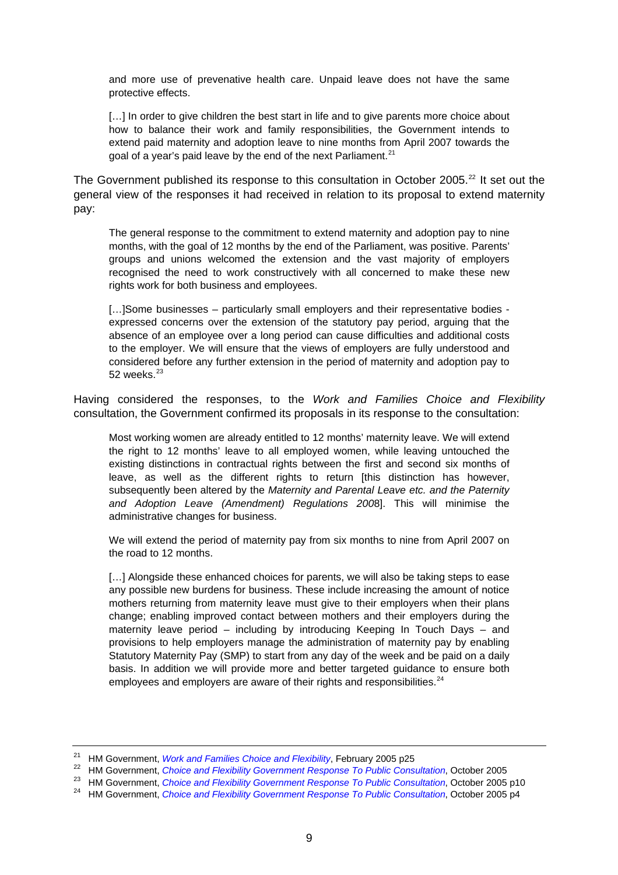and more use of prevenative health care. Unpaid leave does not have the same protective effects.

[...] In order to give children the best start in life and to give parents more choice about how to balance their work and family responsibilities, the Government intends to extend paid maternity and adoption leave to nine months from April 2007 towards the goal of a year's paid leave by the end of the next Parliament. $21$ 

The Government published its response to this consultation in October 2005.<sup>[22](#page-8-1)</sup> It set out the general view of the responses it had received in relation to its proposal to extend maternity pay:

The general response to the commitment to extend maternity and adoption pay to nine months, with the goal of 12 months by the end of the Parliament, was positive. Parents' groups and unions welcomed the extension and the vast majority of employers recognised the need to work constructively with all concerned to make these new rights work for both business and employees.

[…]Some businesses – particularly small employers and their representative bodies expressed concerns over the extension of the statutory pay period, arguing that the absence of an employee over a long period can cause difficulties and additional costs to the employer. We will ensure that the views of employers are fully understood and considered before any further extension in the period of maternity and adoption pay to 52 weeks $23$ 

Having considered the responses, to the *Work and Families Choice and Flexibility* consultation, the Government confirmed its proposals in its response to the consultation:

Most working women are already entitled to 12 months' maternity leave. We will extend the right to 12 months' leave to all employed women, while leaving untouched the existing distinctions in contractual rights between the first and second six months of leave, as well as the different rights to return [this distinction has however, subsequently been altered by the *Maternity and Parental Leave etc. and the Paternity and Adoption Leave (Amendment) Regulations 200*8]. This will minimise the administrative changes for business.

We will extend the period of maternity pay from six months to nine from April 2007 on the road to 12 months.

[...] Alongside these enhanced choices for parents, we will also be taking steps to ease any possible new burdens for business. These include increasing the amount of notice mothers returning from maternity leave must give to their employers when their plans change; enabling improved contact between mothers and their employers during the maternity leave period – including by introducing Keeping In Touch Days – and provisions to help employers manage the administration of maternity pay by enabling Statutory Maternity Pay (SMP) to start from any day of the week and be paid on a daily basis. In addition we will provide more and better targeted guidance to ensure both employees and employers are aware of their rights and responsibilities. $24$ 

<span id="page-8-2"></span><span id="page-8-1"></span>

<span id="page-8-0"></span><sup>&</sup>lt;sup>21</sup> HM Government[,](http://www.berr.gov.uk/files/file16317.pdf)*Work and Families Choice and Flexibility*, February 2005 p25<br><sup>22</sup> HM Government, *Choice and Flexibility Government Response To Public Consultation*, October 2005<br><sup>23</sup> HM Government, *Choice and Flexib* 

<span id="page-8-3"></span>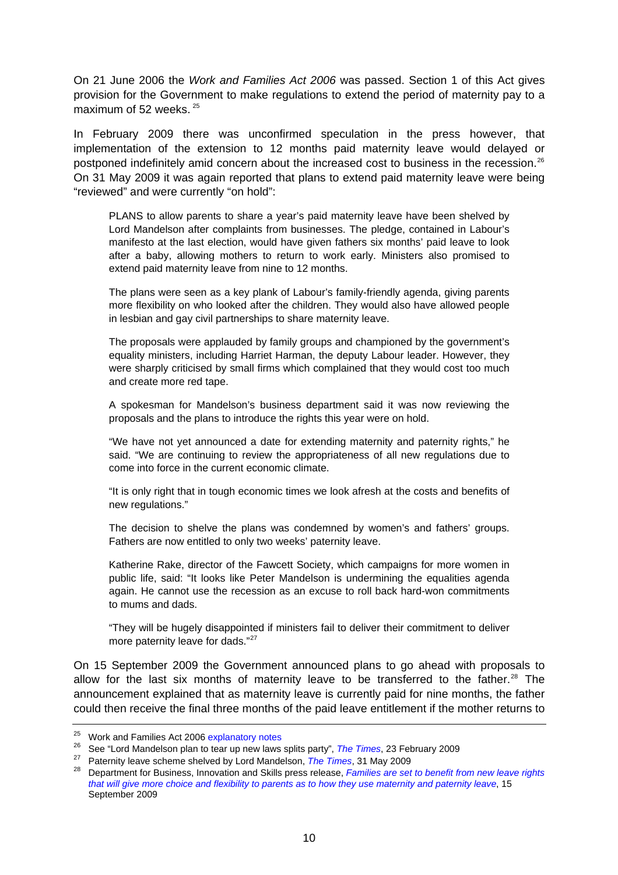On 21 June 2006 the *Work and Families Act 2006* was passed. Section 1 of this Act gives provision for the Government to make regulations to extend the period of maternity pay to a maximum of 52 weeks. <sup>[25](#page-9-0)</sup>

In February 2009 there was unconfirmed speculation in the press however, that implementation of the extension to 12 months paid maternity leave would delayed or postponed indefinitely amid concern about the increased cost to business in the recession.<sup>[26](#page-9-1)</sup> On 31 May 2009 it was again reported that plans to extend paid maternity leave were being "reviewed" and were currently "on hold":

PLANS to allow parents to share a year's paid maternity leave have been shelved by Lord Mandelson after complaints from businesses. The pledge, contained in Labour's manifesto at the last election, would have given fathers six months' paid leave to look after a baby, allowing mothers to return to work early. Ministers also promised to extend paid maternity leave from nine to 12 months.

The plans were seen as a key plank of Labour's family-friendly agenda, giving parents more flexibility on who looked after the children. They would also have allowed people in lesbian and gay civil partnerships to share maternity leave.

The proposals were applauded by family groups and championed by the government's equality ministers, including Harriet Harman, the deputy Labour leader. However, they were sharply criticised by small firms which complained that they would cost too much and create more red tape.

A spokesman for Mandelson's business department said it was now reviewing the proposals and the plans to introduce the rights this year were on hold.

"We have not yet announced a date for extending maternity and paternity rights," he said. "We are continuing to review the appropriateness of all new regulations due to come into force in the current economic climate.

"It is only right that in tough economic times we look afresh at the costs and benefits of new regulations."

The decision to shelve the plans was condemned by women's and fathers' groups. Fathers are now entitled to only two weeks' paternity leave.

Katherine Rake, director of the Fawcett Society, which campaigns for more women in public life, said: "It looks like Peter Mandelson is undermining the equalities agenda again. He cannot use the recession as an excuse to roll back hard-won commitments to mums and dads.

"They will be hugely disappointed if ministers fail to deliver their commitment to deliver more paternity leave for dads."<sup>[27](#page-9-2)</sup>

On 15 September 2009 the Government announced plans to go ahead with proposals to allow for the last six months of maternity leave to be transferred to the father.<sup>[28](#page-9-3)</sup> The announcement explained that as maternity leave is currently paid for nine months, the father could then receive the final three months of the paid leave entitlement if the mother returns to

<span id="page-9-3"></span><span id="page-9-2"></span>

<span id="page-9-1"></span><span id="page-9-0"></span><sup>&</sup>lt;sup>25</sup> Work and Families Act 2006 [explanatory notes](http://www.opsi.gov.uk/acts/en2006/2006en18.htm)<br><sup>26</sup> See "Lord Mandelson plan to tear up new laws splits party"[,](http://www.timesonline.co.uk/tol/news/politics/article5786951.ece)*The Times*, 23 February 2009<br><sup>27</sup> Paternity leave scheme shelved by Lord Mandelson, *The Times*, 31 May 2 *[that will give more choice and flexibility to parents as to how they use maternity and paternity leave](http://nds.coi.gov.uk/content/detail.aspx?NewsAreaId=2&ReleaseID=406668&SubjectId=2)*, 15 September 2009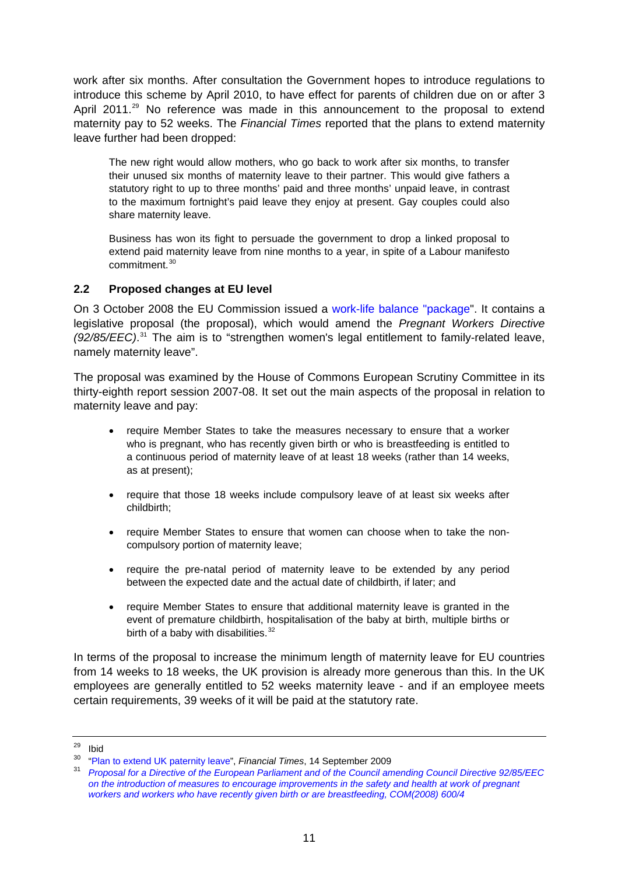<span id="page-10-0"></span>work after six months. After consultation the Government hopes to introduce regulations to introduce this scheme by April 2010, to have effect for parents of children due on or after 3 April 2011.<sup>[29](#page-10-1)</sup> No reference was made in this announcement to the proposal to extend maternity pay to 52 weeks. The *Financial Times* reported that the plans to extend maternity leave further had been dropped:

The new right would allow mothers, who go back to work after six months, to transfer their unused six months of maternity leave to their partner. This would give fathers a statutory right to up to three months' paid and three months' unpaid leave, in contrast to the maximum fortnight's paid leave they enjoy at present. Gay couples could also share maternity leave.

Business has won its fight to persuade the government to drop a linked proposal to extend paid maternity leave from nine months to a year, in spite of a Labour manifesto commitment.<sup>[30](#page-10-2)</sup>

# **2.2 Proposed changes at EU level**

On 3 October 2008 the EU Commission issued a [work-life balance "package"](http://europa.eu/rapid/pressReleasesAction.do?reference=MEMO/08/603&format=HTML&aged=0&language=EN&guiLanguage=en). It contains a legislative proposal (the proposal), which would amend the *Pregnant Workers Directive (92/85/EEC)*. [31](#page-10-3) The aim is to "strengthen women's legal entitlement to family-related leave, namely maternity leave".

The proposal was examined by the House of Commons European Scrutiny Committee in its thirty-eighth report session 2007-08. It set out the main aspects of the proposal in relation to maternity leave and pay:

- require Member States to take the measures necessary to ensure that a worker who is pregnant, who has recently given birth or who is breastfeeding is entitled to a continuous period of maternity leave of at least 18 weeks (rather than 14 weeks, as at present);
- require that those 18 weeks include compulsory leave of at least six weeks after childbirth;
- require Member States to ensure that women can choose when to take the noncompulsory portion of maternity leave;
- require the pre-natal period of maternity leave to be extended by any period between the expected date and the actual date of childbirth, if later; and
- require Member States to ensure that additional maternity leave is granted in the event of premature childbirth, hospitalisation of the baby at birth, multiple births or birth of a baby with disabilities.  $32$

<span id="page-10-4"></span>In terms of the proposal to increase the minimum length of maternity leave for EU countries from 14 weeks to 18 weeks, the UK provision is already more generous than this. In the UK employees are generally entitled to 52 weeks maternity leave - and if an employee meets certain requirements, 39 weeks of it will be paid at the statutory rate.

<span id="page-10-1"></span><sup>&</sup>lt;sup>29</sup> Ibid<br><sup>30</sup> "Plan to extend UK paternity leave", Financial Times, 14 September 2009

<span id="page-10-3"></span><span id="page-10-2"></span><sup>&</sup>lt;sup>31</sup> Proposal for a Directive of the European Parliament and of the Council amending Council Directive 92/85/EEC *[on the introduction of measures to encourage improvements in the safety and health at work of pregnant](http://ec.europa.eu/social/BlobServlet?docId=607&langId=en)  [workers and workers who have recently given birth or are breastfeeding, COM\(2008\) 600/4](http://ec.europa.eu/social/BlobServlet?docId=607&langId=en)*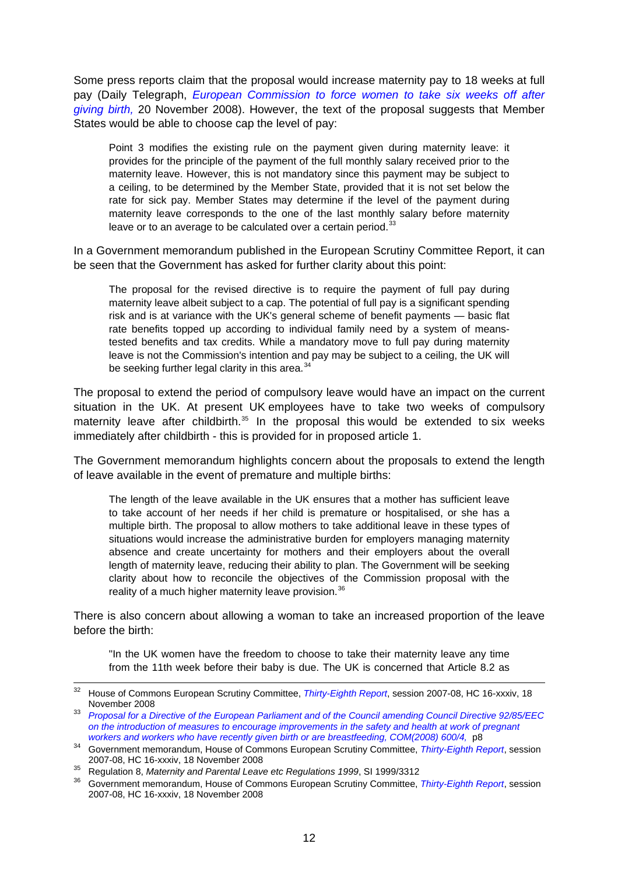Some press reports claim that the proposal would increase maternity pay to 18 weeks at full pay (Daily Telegraph, *[European Commission to force women to take six weeks off after](http://www.telegraph.co.uk/health/3485528/European-Commission-to-force-women-to-take-six-weeks-off-after-giving-birth.html)  [giving birth,](http://www.telegraph.co.uk/health/3485528/European-Commission-to-force-women-to-take-six-weeks-off-after-giving-birth.html)* 20 November 2008). However, the text of the proposal suggests that Member States would be able to choose cap the level of pay:

Point 3 modifies the existing rule on the payment given during maternity leave: it provides for the principle of the payment of the full monthly salary received prior to the maternity leave. However, this is not mandatory since this payment may be subject to a ceiling, to be determined by the Member State, provided that it is not set below the rate for sick pay. Member States may determine if the level of the payment during maternity leave corresponds to the one of the last monthly salary before maternity leave or to an average to be calculated over a certain period.<sup>[33](#page-11-0)</sup>

In a Government memorandum published in the European Scrutiny Committee Report, it can be seen that the Government has asked for further clarity about this point:

The proposal for the revised directive is to require the payment of full pay during maternity leave albeit subject to a cap. The potential of full pay is a significant spending risk and is at variance with the UK's general scheme of benefit payments — basic flat rate benefits topped up according to individual family need by a system of meanstested benefits and tax credits. While a mandatory move to full pay during maternity leave is not the Commission's intention and pay may be subject to a ceiling, the UK will be seeking further legal clarity in this area.<sup>[34](#page-11-1)</sup>

The proposal to extend the period of compulsory leave would have an impact on the current situation in the UK. At present UK employees have to take two weeks of compulsory maternity leave after childbirth.<sup>[35](#page-11-2)</sup> In the proposal this would be extended to six weeks immediately after childbirth - this is provided for in proposed article 1.

The Government memorandum highlights concern about the proposals to extend the length of leave available in the event of premature and multiple births:

The length of the leave available in the UK ensures that a mother has sufficient leave to take account of her needs if her child is premature or hospitalised, or she has a multiple birth. The proposal to allow mothers to take additional leave in these types of situations would increase the administrative burden for employers managing maternity absence and create uncertainty for mothers and their employers about the overall length of maternity leave, reducing their ability to plan. The Government will be seeking clarity about how to reconcile the objectives of the Commission proposal with the reality of a much higher maternity leave provision.<sup>[36](#page-11-3)</sup>

There is also concern about allowing a woman to take an increased proportion of the leave before the birth:

"In the UK women have the freedom to choose to take their maternity leave any time from the 11th week before their baby is due. The UK is concerned that Article 8.2 as

 $32$ House of Commons European Scrutiny Committee, *[Thirty-Eighth Report](http://www.publications.parliament.uk/pa/cm200708/cmselect/cmeuleg/16-xxxiv/16xxxi04.htm)*, session 2007-08, HC 16-xxxiv, 18<br>November 2008

<span id="page-11-0"></span><sup>&</sup>lt;sup>33</sup> Proposal for a Directive of the European Parliament and of the Council amending Council Directive 92/85/EEC *[on the introduction of measures to encourage improvements in the safety and health at work of pregnant](http://ec.europa.eu/social/BlobServlet?docId=607&langId=en)* 

*workers and workers who have recently given birth or are breastfeeding, COM(2008) 600/4,* p8 34 Government memorandum, House of Commons European Scrutiny Committee, *[Thirty-Eighth Report](http://www.publications.parliament.uk/pa/cm200708/cmselect/cmeuleg/16-xxxiv/16xxxi04.htm)*, session

<span id="page-11-3"></span>

<span id="page-11-2"></span><span id="page-11-1"></span><sup>2007-08,</sup> HC 16-xxxiv, 18 November 2008<br><sup>35</sup> Regulation 8, *Maternity and Parental Leave etc Regulations 1999*, SI 1999/3312<br><sup>36</sup> Government memorandum, House of Commons European Scrutiny Committee, *[Thirty-Eighth Report](http://www.publications.parliament.uk/pa/cm200708/cmselect/cmeuleg/16-xxxiv/16xxxi04.htm)*, 2007-08, HC 16-xxxiv, 18 November 2008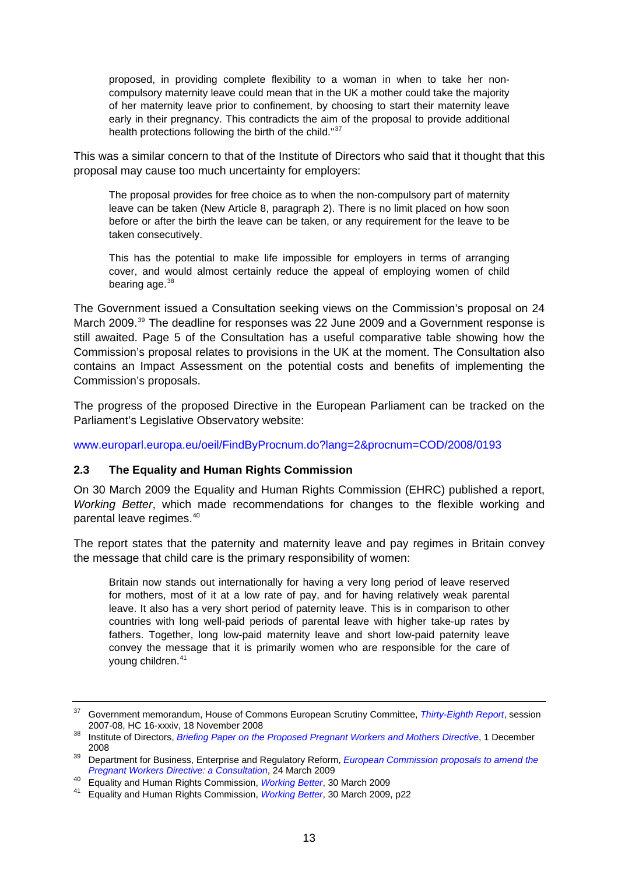<span id="page-12-0"></span>proposed, in providing complete flexibility to a woman in when to take her noncompulsory maternity leave could mean that in the UK a mother could take the majority of her maternity leave prior to confinement, by choosing to start their maternity leave early in their pregnancy. This contradicts the aim of the proposal to provide additional health protections following the birth of the child."<sup>[37](#page-12-1)</sup>

This was a similar concern to that of the Institute of Directors who said that it thought that this proposal may cause too much uncertainty for employers:

The proposal provides for free choice as to when the non-compulsory part of maternity leave can be taken (New Article 8, paragraph 2). There is no limit placed on how soon before or after the birth the leave can be taken, or any requirement for the leave to be taken consecutively.

This has the potential to make life impossible for employers in terms of arranging cover, and would almost certainly reduce the appeal of employing women of child bearing age.<sup>[38](#page-12-2)</sup>

The Government issued a Consultation seeking views on the Commission's proposal on 24 March 2009.<sup>[39](#page-12-3)</sup> The deadline for responses was 22 June 2009 and a Government response is still awaited. Page 5 of the Consultation has a useful comparative table showing how the Commission's proposal relates to provisions in the UK at the moment. The Consultation also contains an Impact Assessment on the potential costs and benefits of implementing the Commission's proposals.

The progress of the proposed Directive in the European Parliament can be tracked on the Parliament's Legislative Observatory website:

[www.europarl.europa.eu/oeil/FindByProcnum.do?lang=2&procnum=COD/2008/0193](http://www.europarl.europa.eu/oeil/FindByProcnum.do?lang=2&procnum=COD/2008/0193)

## **2.3 The Equality and Human Rights Commission**

On 30 March 2009 the Equality and Human Rights Commission (EHRC) published a report, *Working Better*, which made recommendations for changes to the flexible working and parental leave regimes.[40](#page-12-4)

The report states that the paternity and maternity leave and pay regimes in Britain convey the message that child care is the primary responsibility of women:

Britain now stands out internationally for having a very long period of leave reserved for mothers, most of it at a low rate of pay, and for having relatively weak parental leave. It also has a very short period of paternity leave. This is in comparison to other countries with long well-paid periods of parental leave with higher take-up rates by fathers. Together, long low-paid maternity leave and short low-paid paternity leave convey the message that it is primarily women who are responsible for the care of young children.<sup>[41](#page-12-5)</sup>

<span id="page-12-1"></span><sup>37</sup> Government memorandum, House of Commons European Scrutiny Committee, *[Thirty-Eighth Report](http://www.publications.parliament.uk/pa/cm200708/cmselect/cmeuleg/16-xxxiv/16xxxi04.htm)*, session 2007-08, HC 16-xxxiv, 18 November 2008 38 Institute of Directors, *[Briefing Paper on the Proposed Pregnant Workers and Mothers Directive](http://www.iod.com/intershoproot/eCS/Store/en/pdfs/policy_Briefing_note_maternity_proposal.pdf)*, 1 December

<span id="page-12-2"></span><sup>2008 39</sup> Department for Business, Enterprise and Regulatory Reform, *[European Commission proposals to amend the](http://www.berr.gov.uk/files/file50575.pdf)* 

<span id="page-12-3"></span>Pregnant Workers Directive: a Consultation[,](http://www.berr.gov.uk/files/file50575.pdf)24 March 2009<br><sup>40</sup> Equality and Human Rights Commission, *Working Better*, 30 March 2009<br><sup>41</sup> Equality and Human Rights Commission, *Working Better*, 30 March 2009, p22

<span id="page-12-5"></span><span id="page-12-4"></span>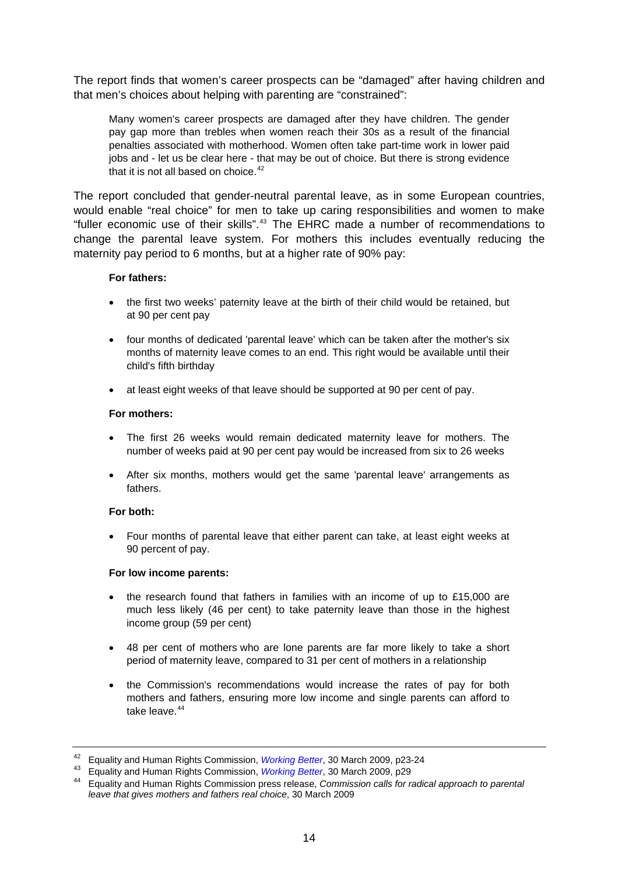The report finds that women's career prospects can be "damaged" after having children and that men's choices about helping with parenting are "constrained":

Many women's career prospects are damaged after they have children. The gender pay gap more than trebles when women reach their 30s as a result of the financial penalties associated with motherhood. Women often take part-time work in lower paid jobs and - let us be clear here - that may be out of choice. But there is strong evidence that it is not all based on choice. $42$ 

The report concluded that gender-neutral parental leave, as in some European countries, would enable "real choice" for men to take up caring responsibilities and women to make "fuller economic use of their skills".[43](#page-13-1) The EHRC made a number of recommendations to change the parental leave system. For mothers this includes eventually reducing the maternity pay period to 6 months, but at a higher rate of 90% pay:

### **For fathers:**

- the first two weeks' paternity leave at the birth of their child would be retained, but at 90 per cent pay
- four months of dedicated 'parental leave' which can be taken after the mother's six months of maternity leave comes to an end. This right would be available until their child's fifth birthday
- at least eight weeks of that leave should be supported at 90 per cent of pay.

### **For mothers:**

- The first 26 weeks would remain dedicated maternity leave for mothers. The number of weeks paid at 90 per cent pay would be increased from six to 26 weeks
- After six months, mothers would get the same 'parental leave' arrangements as fathers.

### **For both:**

• Four months of parental leave that either parent can take, at least eight weeks at 90 percent of pay.

### **For low income parents:**

- the research found that fathers in families with an income of up to  $£15,000$  are much less likely (46 per cent) to take paternity leave than those in the highest income group (59 per cent)
- 48 per cent of mothers who are lone parents are far more likely to take a short period of maternity leave, compared to 31 per cent of mothers in a relationship
- the Commission's recommendations would increase the rates of pay for both mothers and fathers, ensuring more low income and single parents can afford to take leave.<sup>[44](#page-13-2)</sup>

<span id="page-13-2"></span>

<span id="page-13-1"></span><span id="page-13-0"></span><sup>&</sup>lt;sup>42</sup> Equality and Human Rights Commission[,](http://www.equalityhumanrights.com/uploaded_files/working_better_final_pdf_250309.pdf)*Working Better*, 30 March 2009, p23-24<br><sup>43</sup> Equality and Human Rights Commission, *Working Better*, 30 March 2009, p29<br><sup>44</sup> Equality and Human Rights Commission press release, *leave that gives mothers and fathers real choice*, 30 March 2009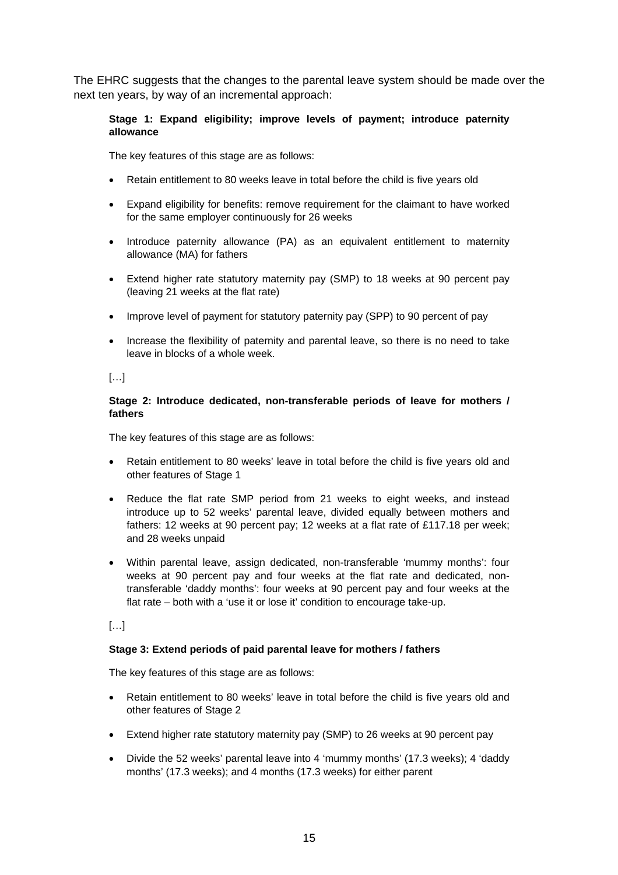The EHRC suggests that the changes to the parental leave system should be made over the next ten years, by way of an incremental approach:

### **Stage 1: Expand eligibility; improve levels of payment; introduce paternity allowance**

The key features of this stage are as follows:

- Retain entitlement to 80 weeks leave in total before the child is five years old
- Expand eligibility for benefits: remove requirement for the claimant to have worked for the same employer continuously for 26 weeks
- Introduce paternity allowance (PA) as an equivalent entitlement to maternity allowance (MA) for fathers
- Extend higher rate statutory maternity pay (SMP) to 18 weeks at 90 percent pay (leaving 21 weeks at the flat rate)
- Improve level of payment for statutory paternity pay (SPP) to 90 percent of pay
- Increase the flexibility of paternity and parental leave, so there is no need to take leave in blocks of a whole week.

### […]

### **Stage 2: Introduce dedicated, non-transferable periods of leave for mothers / fathers**

The key features of this stage are as follows:

- Retain entitlement to 80 weeks' leave in total before the child is five years old and other features of Stage 1
- Reduce the flat rate SMP period from 21 weeks to eight weeks, and instead introduce up to 52 weeks' parental leave, divided equally between mothers and fathers: 12 weeks at 90 percent pay; 12 weeks at a flat rate of £117.18 per week; and 28 weeks unpaid
- Within parental leave, assign dedicated, non-transferable 'mummy months': four weeks at 90 percent pay and four weeks at the flat rate and dedicated, nontransferable 'daddy months': four weeks at 90 percent pay and four weeks at the flat rate – both with a 'use it or lose it' condition to encourage take-up.

[…]

### **Stage 3: Extend periods of paid parental leave for mothers / fathers**

The key features of this stage are as follows:

- Retain entitlement to 80 weeks' leave in total before the child is five years old and other features of Stage 2
- Extend higher rate statutory maternity pay (SMP) to 26 weeks at 90 percent pay
- Divide the 52 weeks' parental leave into 4 'mummy months' (17.3 weeks); 4 'daddy months' (17.3 weeks); and 4 months (17.3 weeks) for either parent